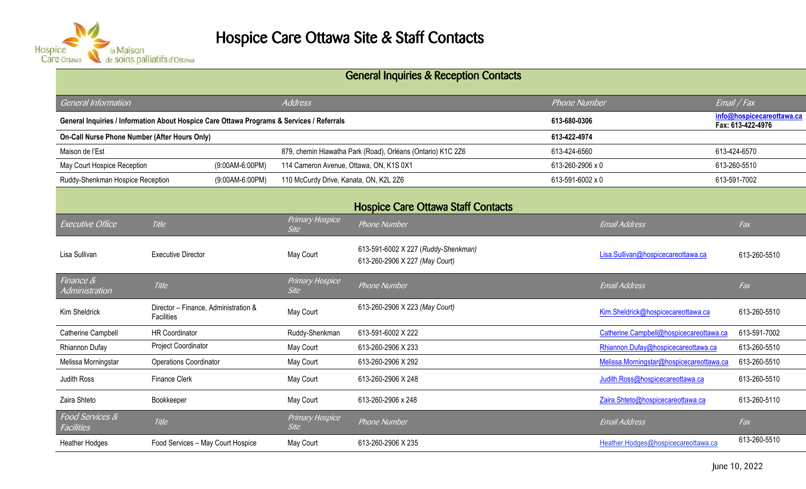

## General Inquiries & Reception Contacts

| <b>General Information</b>                                                                |                                                    |                                                             | <b>Address</b>                 |                                                                       | <b>Phone Number</b> |                                          | $E$ mail / Fax                                 |
|-------------------------------------------------------------------------------------------|----------------------------------------------------|-------------------------------------------------------------|--------------------------------|-----------------------------------------------------------------------|---------------------|------------------------------------------|------------------------------------------------|
| General Inquiries / Information About Hospice Care Ottawa Programs & Services / Referrals |                                                    |                                                             |                                |                                                                       | 613-680-0306        |                                          | info@hospicecareottawa.ca<br>Fax: 613-422-4976 |
| <b>On-Call Nurse Phone Number (After Hours Only)</b>                                      |                                                    |                                                             |                                |                                                                       | 613-422-4974        |                                          |                                                |
| Maison de l'Est                                                                           |                                                    | 879, chemin Hiawatha Park (Road), Orléans (Ontario) K1C 2Z6 |                                |                                                                       | 613-424-6560        |                                          |                                                |
| May Court Hospice Reception<br>(9:00AM-6:00PM)                                            |                                                    | 114 Cameron Avenue, Ottawa, ON, K1S 0X1                     |                                | 613-260-2906 x 0                                                      |                     | 613-260-5510                             |                                                |
| Ruddy-Shenkman Hospice Reception<br>$(9:00AM-6:00PM)$                                     |                                                    | 110 McCurdy Drive, Kanata, ON, K2L 2Z6                      |                                |                                                                       | 613-591-6002 x 0    |                                          |                                                |
|                                                                                           |                                                    |                                                             |                                | <b>Hospice Care Ottawa Staff Contacts</b>                             |                     |                                          |                                                |
| <b>Executive Office</b>                                                                   | Title                                              |                                                             | Primary Hospice<br><b>Site</b> | Phone Number                                                          |                     | <b>Email Address</b>                     | Fax                                            |
| Lisa Sullivan                                                                             | <b>Executive Director</b>                          |                                                             | May Court                      | 613-591-6002 X 227 (Ruddy-Shenkman)<br>613-260-2906 X 227 (May Court) |                     | Lisa.Sullivan@hospicecareottawa.ca       | 613-260-5510                                   |
| Finance $\overline{\mathcal{R}}$<br>Administration                                        | Title                                              |                                                             | Primary Hospice<br><b>Site</b> | Phone Number                                                          |                     | <b>Email Address</b>                     | Fax                                            |
| Kim Sheldrick                                                                             | Director - Finance, Administration &<br>Facilities |                                                             | May Court                      | 613-260-2906 X 223 (May Court)                                        |                     | Kim.Sheldrick@hospicecareottawa.ca       | 613-260-5510                                   |
| Catherine Campbell                                                                        | <b>HR Coordinator</b>                              |                                                             | Ruddy-Shenkman                 | 613-591-6002 X 222                                                    |                     | Catherine.Campbell@hospicecareottawa.ca  | 613-591-7002                                   |
| Rhiannon Dufay                                                                            | Project Coordinator                                |                                                             | May Court                      | 613-260-2906 X 233                                                    |                     | Rhiannon.Dufay@hospicecareottawa.ca      | 613-260-5510                                   |
| Melissa Morningstar                                                                       | <b>Operations Coordinator</b>                      |                                                             | May Court                      | 613-260-2906 X 292                                                    |                     | Melissa.Morningstar@hospicecareottawa.ca | 613-260-5510                                   |
| Judith Ross                                                                               | <b>Finance Clerk</b>                               |                                                             | May Court                      | 613-260-2906 X 248                                                    |                     | Judith.Ross@hospicecareottawa.ca         | 613-260-5510                                   |
| Zaira Shteto                                                                              | Bookkeeper                                         |                                                             | May Court                      | 613-260-2906 x 248                                                    |                     | Zaira.Shteto@hospicecareottawa.ca        | 613-260-5110                                   |
| Food Services &<br>Facilities                                                             | Title                                              |                                                             | Primary Hospice<br><b>Site</b> | <b>Phone Number</b>                                                   |                     | <b>Email Address</b>                     | Fax                                            |
| <b>Heather Hodges</b>                                                                     | Food Services - May Court Hospice                  |                                                             | May Court                      | 613-260-2906 X 235                                                    |                     | Heather.Hodges@hospicecareottawa.ca      | 613-260-5510                                   |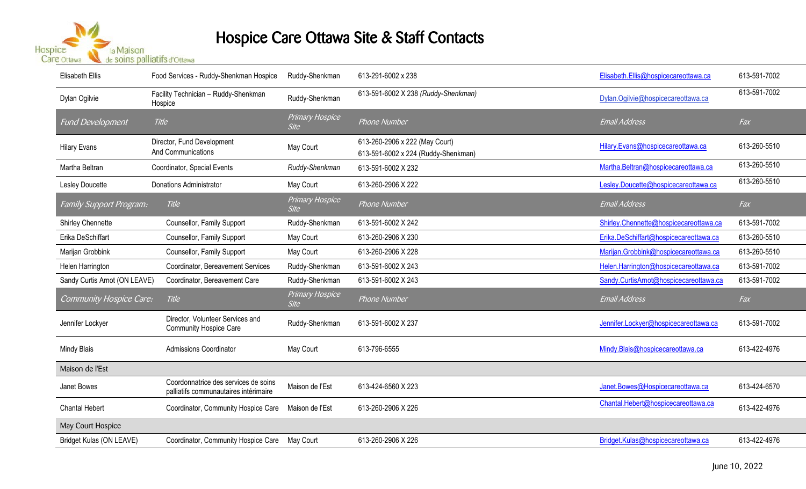

## Hospice Care Ottawa Site & Staff Contacts

| <b>Elisabeth Ellis</b>        | Food Services - Ruddy-Shenkman Hospice                                        | Ruddy-Shenkman                 | 613-291-6002 x 238                                                    | Elisabeth.Ellis@hospicecareottawa.ca   | 613-591-7002 |
|-------------------------------|-------------------------------------------------------------------------------|--------------------------------|-----------------------------------------------------------------------|----------------------------------------|--------------|
| Dylan Ogilvie                 | Facility Technician - Ruddy-Shenkman<br>Hospice                               | Ruddy-Shenkman                 | 613-591-6002 X 238 (Ruddy-Shenkman)                                   | Dylan.Ogilvie@hospicecareottawa.ca     | 613-591-7002 |
| <b>Fund Development</b>       | Title                                                                         | Primary Hospice<br><b>Site</b> | Phone Number                                                          | <b>Email Address</b>                   | Fax          |
| <b>Hilary Evans</b>           | Director, Fund Development<br>And Communications                              | May Court                      | 613-260-2906 x 222 (May Court)<br>613-591-6002 x 224 (Ruddy-Shenkman) | Hilary.Evans@hospicecareottawa.ca      | 613-260-5510 |
| Martha Beltran                | Coordinator, Special Events                                                   | Ruddy-Shenkman                 | 613-591-6002 X 232                                                    | Martha.Beltran@hospicecareottawa.ca    | 613-260-5510 |
| Lesley Doucette               | <b>Donations Administrator</b>                                                | May Court                      | 613-260-2906 X 222                                                    | Lesley.Doucette@hospicecareottawa.ca   | 613-260-5510 |
| Family Support Program:       | <b>Title</b>                                                                  | Primary Hospice<br><b>Site</b> | <b>Phone Number</b>                                                   | <b>Email Address</b>                   | Fax          |
| <b>Shirley Chennette</b>      | Counsellor, Family Support                                                    | Ruddy-Shenkman                 | 613-591-6002 X 242                                                    | Shirley.Chennette@hospicecareottawa.ca | 613-591-7002 |
| Erika DeSchiffart             | Counsellor, Family Support                                                    | May Court                      | 613-260-2906 X 230                                                    | Erika.DeSchiffart@hospicecareottawa.ca | 613-260-5510 |
| Marijan Grobbink              | Counsellor, Family Support                                                    | May Court                      | 613-260-2906 X 228                                                    | Marijan.Grobbink@hospicecareottawa.ca  | 613-260-5510 |
| Helen Harrington              | Coordinator, Bereavement Services                                             | Ruddy-Shenkman                 | 613-591-6002 X 243                                                    | Helen.Harrington@hospicecareottawa.ca  | 613-591-7002 |
| Sandy Curtis Arnot (ON LEAVE) | Coordinator, Bereavement Care                                                 | Ruddy-Shenkman                 | 613-591-6002 X 243                                                    | Sandy.CurtisArnot@hospicecareottawa.ca | 613-591-7002 |
| Community Hospice Care:       | Title                                                                         | Primary Hospice<br><b>Site</b> | Phone Number                                                          | <b>Email Address</b>                   | Fax          |
| Jennifer Lockyer              | Director, Volunteer Services and<br><b>Community Hospice Care</b>             | Ruddy-Shenkman                 | 613-591-6002 X 237                                                    | Jennifer.Lockyer@hospicecareottawa.ca  | 613-591-7002 |
| <b>Mindy Blais</b>            | <b>Admissions Coordinator</b>                                                 | May Court                      | 613-796-6555                                                          | Mindy.Blais@hospicecareottawa.ca       | 613-422-4976 |
| Maison de l'Est               |                                                                               |                                |                                                                       |                                        |              |
| Janet Bowes                   | Coordonnatrice des services de soins<br>palliatifs communautaires intérimaire | Maison de l'Est                | 613-424-6560 X 223                                                    | Janet.Bowes@Hospicecareottawa.ca       | 613-424-6570 |
| <b>Chantal Hebert</b>         | Coordinator, Community Hospice Care                                           | Maison de l'Est                | 613-260-2906 X 226                                                    | Chantal.Hebert@hospicecareottawa.ca    | 613-422-4976 |
| May Court Hospice             |                                                                               |                                |                                                                       |                                        |              |
| Bridget Kulas (ON LEAVE)      | Coordinator, Community Hospice Care                                           | May Court                      | 613-260-2906 X 226                                                    | Bridget.Kulas@hospicecareottawa.ca     | 613-422-4976 |